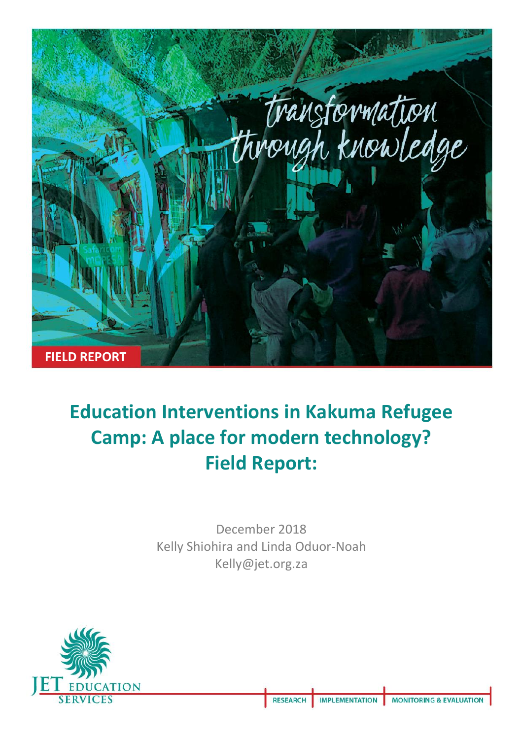

# **Education Interventions in Kakuma Refugee Camp: A place for modern technology? Field Report:**

December 2018 Kelly Shiohira and Linda Oduor-Noah Kelly@jet.org.za

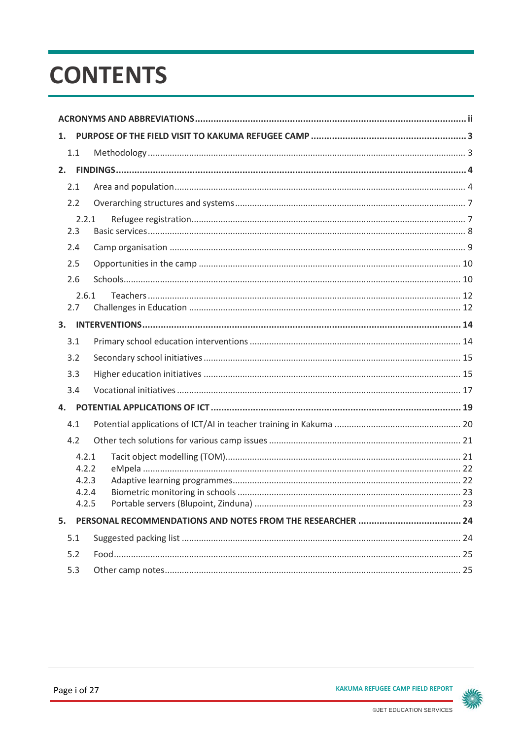# **CONTENTS**

| 1. |                                           |  |  |  |  |  |  |  |
|----|-------------------------------------------|--|--|--|--|--|--|--|
|    | 1.1                                       |  |  |  |  |  |  |  |
| 2. |                                           |  |  |  |  |  |  |  |
|    | 2.1                                       |  |  |  |  |  |  |  |
|    | 2.2                                       |  |  |  |  |  |  |  |
|    | 2.2.1<br>2.3                              |  |  |  |  |  |  |  |
|    | 2.4                                       |  |  |  |  |  |  |  |
|    | 2.5                                       |  |  |  |  |  |  |  |
|    | 2.6                                       |  |  |  |  |  |  |  |
|    | 2.6.1<br>2.7                              |  |  |  |  |  |  |  |
|    |                                           |  |  |  |  |  |  |  |
|    | 3.1                                       |  |  |  |  |  |  |  |
|    | 3.2                                       |  |  |  |  |  |  |  |
|    | 3.3                                       |  |  |  |  |  |  |  |
|    | 3.4                                       |  |  |  |  |  |  |  |
| 4. |                                           |  |  |  |  |  |  |  |
|    | 4.1                                       |  |  |  |  |  |  |  |
|    | 4.2                                       |  |  |  |  |  |  |  |
|    | 4.2.1<br>4.2.2<br>4.2.3<br>4.2.4<br>4.2.5 |  |  |  |  |  |  |  |
| 5. |                                           |  |  |  |  |  |  |  |
|    | 5.1                                       |  |  |  |  |  |  |  |
|    | 5.2                                       |  |  |  |  |  |  |  |
|    | 5.3                                       |  |  |  |  |  |  |  |

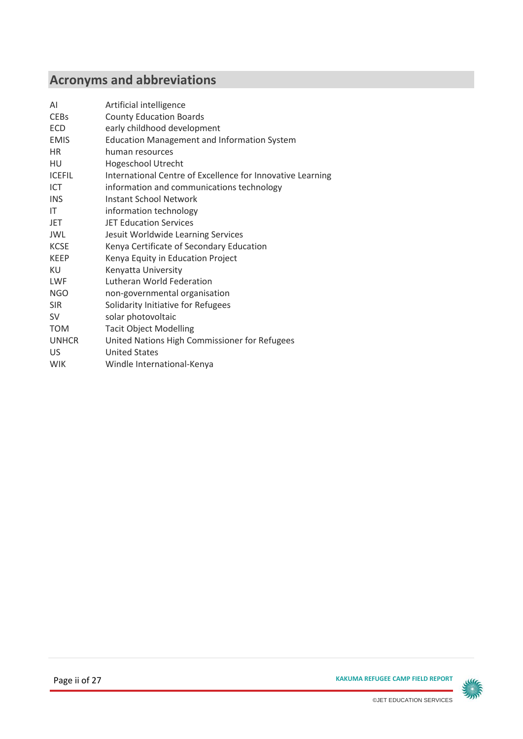# **Acronyms and abbreviations**

| ΑI            | Artificial intelligence                                    |  |  |  |  |
|---------------|------------------------------------------------------------|--|--|--|--|
| <b>CEBs</b>   | <b>County Education Boards</b>                             |  |  |  |  |
| <b>ECD</b>    | early childhood development                                |  |  |  |  |
| <b>EMIS</b>   | <b>Education Management and Information System</b>         |  |  |  |  |
| <b>HR</b>     | human resources                                            |  |  |  |  |
| HU            | <b>Hogeschool Utrecht</b>                                  |  |  |  |  |
| <b>ICEFIL</b> | International Centre of Excellence for Innovative Learning |  |  |  |  |
| <b>ICT</b>    | information and communications technology                  |  |  |  |  |
| <b>INS</b>    | <b>Instant School Network</b>                              |  |  |  |  |
| IT            | information technology                                     |  |  |  |  |
| <b>JET</b>    | <b>JET Education Services</b>                              |  |  |  |  |
| JWL           | Jesuit Worldwide Learning Services                         |  |  |  |  |
| <b>KCSE</b>   | Kenya Certificate of Secondary Education                   |  |  |  |  |
| <b>KEEP</b>   | Kenya Equity in Education Project                          |  |  |  |  |
| KU            | Kenyatta University                                        |  |  |  |  |
| LWF           | Lutheran World Federation                                  |  |  |  |  |
| NGO           | non-governmental organisation                              |  |  |  |  |
| <b>SIR</b>    | Solidarity Initiative for Refugees                         |  |  |  |  |
| <b>SV</b>     | solar photovoltaic                                         |  |  |  |  |
| <b>TOM</b>    | <b>Tacit Object Modelling</b>                              |  |  |  |  |
| <b>UNHCR</b>  | United Nations High Commissioner for Refugees              |  |  |  |  |
| US            | <b>United States</b>                                       |  |  |  |  |
| <b>WIK</b>    | Windle International-Kenya                                 |  |  |  |  |

**Page ii of 27 KAKUMA REFUGEE CAMP FIELD REPORT** 

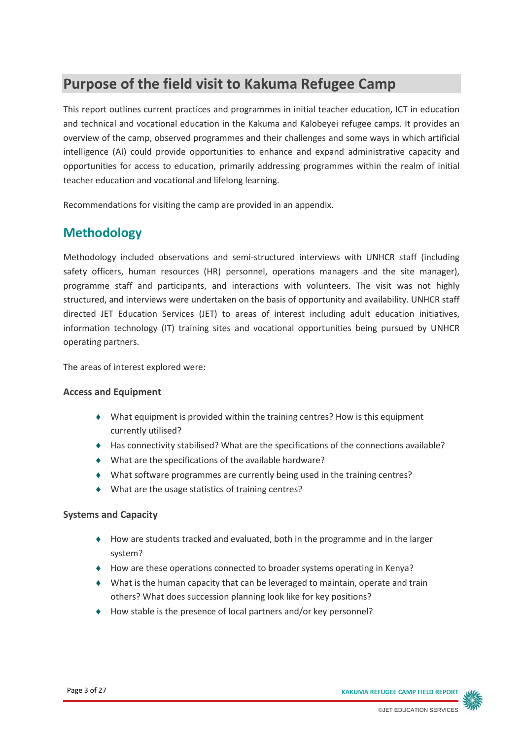# **Purpose of the field visit to Kakuma Refugee Camp**

This report outlines current practices and programmes in initial teacher education, ICT in education and technical and vocational education in the Kakuma and Kalobeyei refugee camps. It provides an overview of the camp, observed programmes and their challenges and some ways in which artificial intelligence (AI) could provide opportunities to enhance and expand administrative capacity and opportunities for access to education, primarily addressing programmes within the realm of initial teacher education and vocational and lifelong learning.

Recommendations for visiting the camp are provided in an appendix.

# **Methodology**

Methodology included observations and semi-structured interviews with UNHCR staff (including safety officers, human resources (HR) personnel, operations managers and the site manager), programme staff and participants, and interactions with volunteers. The visit was not highly structured, and interviews were undertaken on the basis of opportunity and availability. UNHCR staff directed JET Education Services (JET) to areas of interest including adult education initiatives, information technology (IT) training sites and vocational opportunities being pursued by UNHCR operating partners.

The areas of interest explored were:

#### **Access and Equipment**

- What equipment is provided within the training centres? How is this equipment currently utilised?
- Has connectivity stabilised? What are the specifications of the connections available?
- What are the specifications of the available hardware?
- What software programmes are currently being used in the training centres?
- What are the usage statistics of training centres?

#### **Systems and Capacity**

- How are students tracked and evaluated, both in the programme and in the larger system?
- How are these operations connected to broader systems operating in Kenya?
- What is the human capacity that can be leveraged to maintain, operate and train others? What does succession planning look like for key positions?
- ◆ How stable is the presence of local partners and/or key personnel?

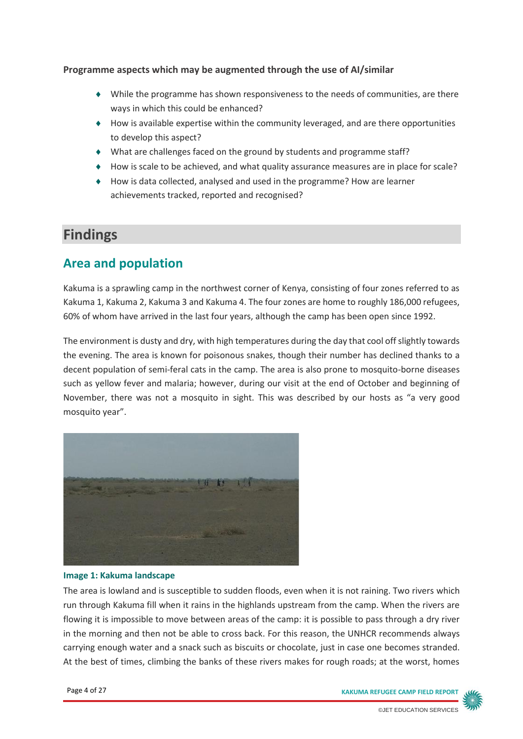#### **Programme aspects which may be augmented through the use of AI/similar**

- While the programme has shown responsiveness to the needs of communities, are there ways in which this could be enhanced?
- $\bullet$  How is available expertise within the community leveraged, and are there opportunities to develop this aspect?
- What are challenges faced on the ground by students and programme staff?
- ◆ How is scale to be achieved, and what quality assurance measures are in place for scale?
- How is data collected, analysed and used in the programme? How are learner achievements tracked, reported and recognised?

# **Findings**

### **Area and population**

Kakuma is a sprawling camp in the northwest corner of Kenya, consisting of four zones referred to as Kakuma 1, Kakuma 2, Kakuma 3 and Kakuma 4. The four zones are home to roughly 186,000 refugees, 60% of whom have arrived in the last four years, although the camp has been open since 1992.

The environment is dusty and dry, with high temperatures during the day that cool off slightly towards the evening. The area is known for poisonous snakes, though their number has declined thanks to a decent population of semi-feral cats in the camp. The area is also prone to mosquito-borne diseases such as yellow fever and malaria; however, during our visit at the end of October and beginning of November, there was not a mosquito in sight. This was described by our hosts as "a very good mosquito year".



#### **Image 1: Kakuma landscape**

The area is lowland and is susceptible to sudden floods, even when it is not raining. Two rivers which run through Kakuma fill when it rains in the highlands upstream from the camp. When the rivers are flowing it is impossible to move between areas of the camp: it is possible to pass through a dry river in the morning and then not be able to cross back. For this reason, the UNHCR recommends always carrying enough water and a snack such as biscuits or chocolate, just in case one becomes stranded. At the best of times, climbing the banks of these rivers makes for rough roads; at the worst, homes

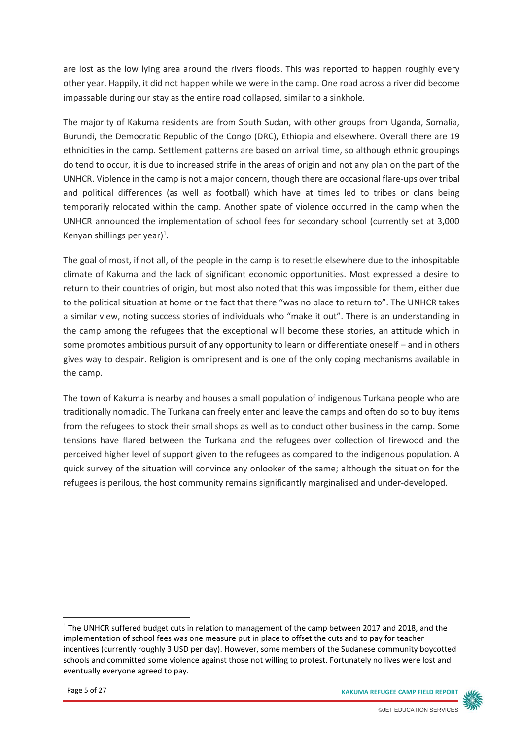are lost as the low lying area around the rivers floods. This was reported to happen roughly every other year. Happily, it did not happen while we were in the camp. One road across a river did become impassable during our stay as the entire road collapsed, similar to a sinkhole.

The majority of Kakuma residents are from South Sudan, with other groups from Uganda, Somalia, Burundi, the Democratic Republic of the Congo (DRC), Ethiopia and elsewhere. Overall there are 19 ethnicities in the camp. Settlement patterns are based on arrival time, so although ethnic groupings do tend to occur, it is due to increased strife in the areas of origin and not any plan on the part of the UNHCR. Violence in the camp is not a major concern, though there are occasional flare-ups over tribal and political differences (as well as football) which have at times led to tribes or clans being temporarily relocated within the camp. Another spate of violence occurred in the camp when the UNHCR announced the implementation of school fees for secondary school (currently set at 3,000 Kenyan shillings per year)<sup>1</sup>.

The goal of most, if not all, of the people in the camp is to resettle elsewhere due to the inhospitable climate of Kakuma and the lack of significant economic opportunities. Most expressed a desire to return to their countries of origin, but most also noted that this was impossible for them, either due to the political situation at home or the fact that there "was no place to return to". The UNHCR takes a similar view, noting success stories of individuals who "make it out". There is an understanding in the camp among the refugees that the exceptional will become these stories, an attitude which in some promotes ambitious pursuit of any opportunity to learn or differentiate oneself – and in others gives way to despair. Religion is omnipresent and is one of the only coping mechanisms available in the camp.

The town of Kakuma is nearby and houses a small population of indigenous Turkana people who are traditionally nomadic. The Turkana can freely enter and leave the camps and often do so to buy items from the refugees to stock their small shops as well as to conduct other business in the camp. Some tensions have flared between the Turkana and the refugees over collection of firewood and the perceived higher level of support given to the refugees as compared to the indigenous population. A quick survey of the situation will convince any onlooker of the same; although the situation for the refugees is perilous, the host community remains significantly marginalised and under-developed.



<sup>&</sup>lt;sup>1</sup> The UNHCR suffered budget cuts in relation to management of the camp between 2017 and 2018, and the implementation of school fees was one measure put in place to offset the cuts and to pay for teacher incentives (currently roughly 3 USD per day). However, some members of the Sudanese community boycotted schools and committed some violence against those not willing to protest. Fortunately no lives were lost and eventually everyone agreed to pay.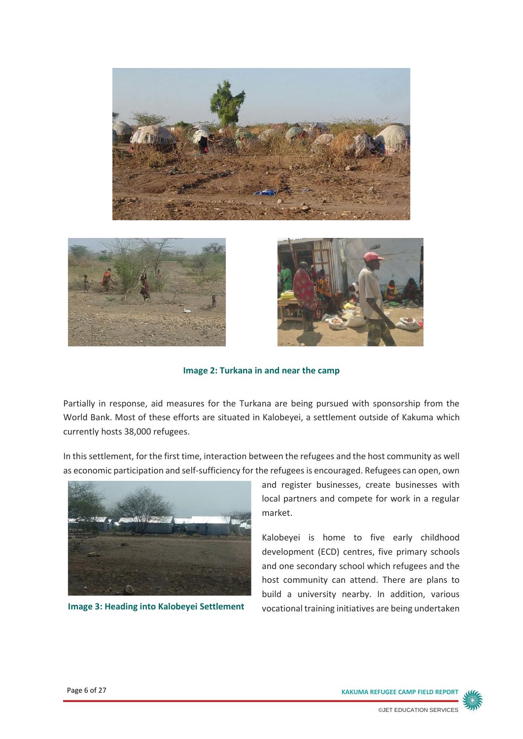





**Image 2: Turkana in and near the camp**

Partially in response, aid measures for the Turkana are being pursued with sponsorship from the World Bank. Most of these efforts are situated in Kalobeyei, a settlement outside of Kakuma which currently hosts 38,000 refugees.

In this settlement, for the first time, interaction between the refugees and the host community as well



and register businesses, create businesses with local partners and compete for work in a regular market.

Kalobeyei is home to five early childhood development (ECD) centres, five primary schools and one secondary school which refugees and the host community can attend. There are plans to build a university nearby. In addition, various Image 3: Heading into Kalobeyei Settlement vocational training initiatives are being undertaken

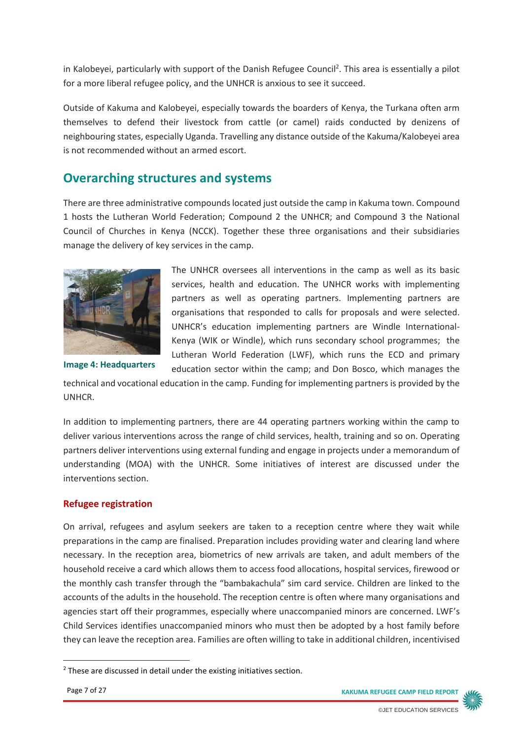in Kalobeyei, particularly with support of the Danish Refugee Council<sup>2</sup>. This area is essentially a pilot for a more liberal refugee policy, and the UNHCR is anxious to see it succeed.

Outside of Kakuma and Kalobeyei, especially towards the boarders of Kenya, the Turkana often arm themselves to defend their livestock from cattle (or camel) raids conducted by denizens of neighbouring states, especially Uganda. Travelling any distance outside of the Kakuma/Kalobeyei area is not recommended without an armed escort.

### **Overarching structures and systems**

There are three administrative compounds located just outside the camp in Kakuma town. Compound 1 hosts the Lutheran World Federation; Compound 2 the UNHCR; and Compound 3 the National Council of Churches in Kenya (NCCK). Together these three organisations and their subsidiaries manage the delivery of key services in the camp.



The UNHCR oversees all interventions in the camp as well as its basic services, health and education. The UNHCR works with implementing partners as well as operating partners. Implementing partners are organisations that responded to calls for proposals and were selected. UNHCR's education implementing partners are Windle International-Kenya (WIK or Windle), which runs secondary school programmes; the Lutheran World Federation (LWF), which runs the ECD and primary education sector within the camp; and Don Bosco, which manages the

**Image 4: Headquarters**

technical and vocational education in the camp. Funding for implementing partners is provided by the UNHCR.

In addition to implementing partners, there are 44 operating partners working within the camp to deliver various interventions across the range of child services, health, training and so on. Operating partners deliver interventions using external funding and engage in projects under a memorandum of understanding (MOA) with the UNHCR. Some initiatives of interest are discussed under the interventions section.

#### **Refugee registration**

On arrival, refugees and asylum seekers are taken to a reception centre where they wait while preparations in the camp are finalised. Preparation includes providing water and clearing land where necessary. In the reception area, biometrics of new arrivals are taken, and adult members of the household receive a card which allows them to access food allocations, hospital services, firewood or the monthly cash transfer through the "bambakachula" sim card service. Children are linked to the accounts of the adults in the household. The reception centre is often where many organisations and agencies start off their programmes, especially where unaccompanied minors are concerned. LWF's Child Services identifies unaccompanied minors who must then be adopted by a host family before they can leave the reception area. Families are often willing to take in additional children, incentivised

**.** 

Page 7 of 27 **KAKUMA REFUGEE CAMP FIELD REPORT**



<sup>&</sup>lt;sup>2</sup> These are discussed in detail under the existing initiatives section.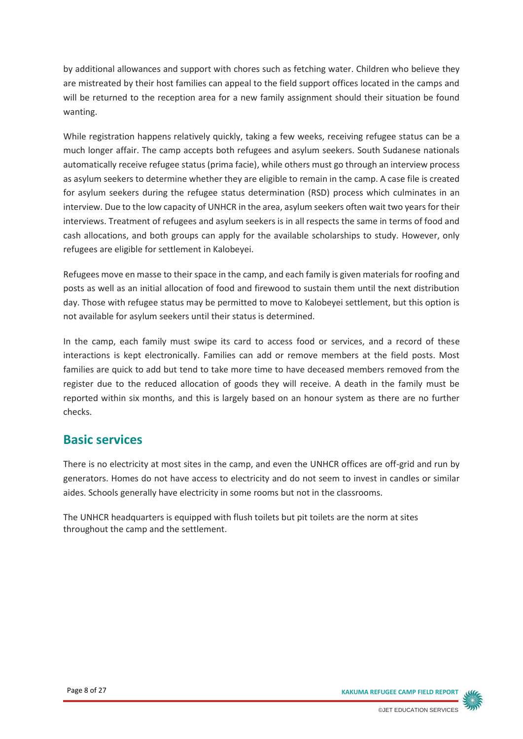by additional allowances and support with chores such as fetching water. Children who believe they are mistreated by their host families can appeal to the field support offices located in the camps and will be returned to the reception area for a new family assignment should their situation be found wanting.

While registration happens relatively quickly, taking a few weeks, receiving refugee status can be a much longer affair. The camp accepts both refugees and asylum seekers. South Sudanese nationals automatically receive refugee status (prima facie), while others must go through an interview process as asylum seekers to determine whether they are eligible to remain in the camp. A case file is created for asylum seekers during the refugee status determination (RSD) process which culminates in an interview. Due to the low capacity of UNHCR in the area, asylum seekers often wait two years for their interviews. Treatment of refugees and asylum seekers is in all respects the same in terms of food and cash allocations, and both groups can apply for the available scholarships to study. However, only refugees are eligible for settlement in Kalobeyei.

Refugees move en masse to their space in the camp, and each family is given materials for roofing and posts as well as an initial allocation of food and firewood to sustain them until the next distribution day. Those with refugee status may be permitted to move to Kalobeyei settlement, but this option is not available for asylum seekers until their status is determined.

In the camp, each family must swipe its card to access food or services, and a record of these interactions is kept electronically. Families can add or remove members at the field posts. Most families are quick to add but tend to take more time to have deceased members removed from the register due to the reduced allocation of goods they will receive. A death in the family must be reported within six months, and this is largely based on an honour system as there are no further checks.

### **Basic services**

There is no electricity at most sites in the camp, and even the UNHCR offices are off-grid and run by generators. Homes do not have access to electricity and do not seem to invest in candles or similar aides. Schools generally have electricity in some rooms but not in the classrooms.

The UNHCR headquarters is equipped with flush toilets but pit toilets are the norm at sites throughout the camp and the settlement.

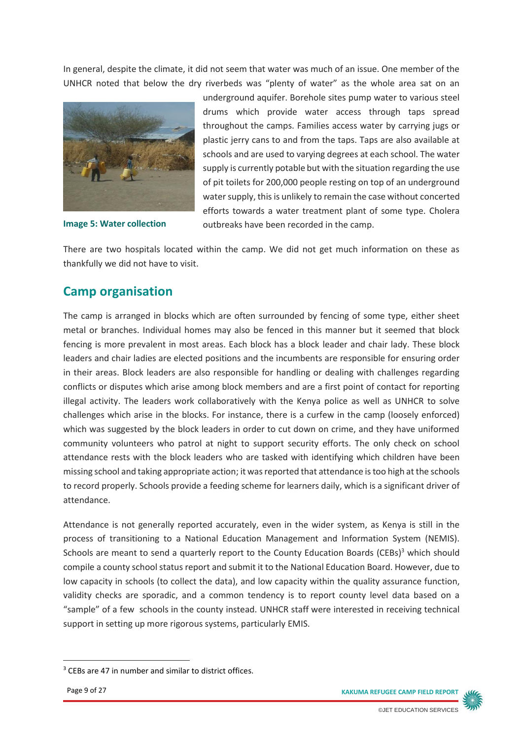In general, despite the climate, it did not seem that water was much of an issue. One member of the UNHCR noted that below the dry riverbeds was "plenty of water" as the whole area sat on an



**Image 5: Water collection**

underground aquifer. Borehole sites pump water to various steel drums which provide water access through taps spread throughout the camps. Families access water by carrying jugs or plastic jerry cans to and from the taps. Taps are also available at schools and are used to varying degrees at each school. The water supply is currently potable but with the situation regarding the use of pit toilets for 200,000 people resting on top of an underground water supply, this is unlikely to remain the case without concerted efforts towards a water treatment plant of some type. Cholera outbreaks have been recorded in the camp.

There are two hospitals located within the camp. We did not get much information on these as thankfully we did not have to visit.

### **Camp organisation**

The camp is arranged in blocks which are often surrounded by fencing of some type, either sheet metal or branches. Individual homes may also be fenced in this manner but it seemed that block fencing is more prevalent in most areas. Each block has a block leader and chair lady. These block leaders and chair ladies are elected positions and the incumbents are responsible for ensuring order in their areas. Block leaders are also responsible for handling or dealing with challenges regarding conflicts or disputes which arise among block members and are a first point of contact for reporting illegal activity. The leaders work collaboratively with the Kenya police as well as UNHCR to solve challenges which arise in the blocks. For instance, there is a curfew in the camp (loosely enforced) which was suggested by the block leaders in order to cut down on crime, and they have uniformed community volunteers who patrol at night to support security efforts. The only check on school attendance rests with the block leaders who are tasked with identifying which children have been missing school and taking appropriate action; it was reported that attendance is too high at the schools to record properly. Schools provide a feeding scheme for learners daily, which is a significant driver of attendance.

Attendance is not generally reported accurately, even in the wider system, as Kenya is still in the process of transitioning to a National Education Management and Information System (NEMIS). Schools are meant to send a quarterly report to the County Education Boards (CEBs)<sup>3</sup> which should compile a county school status report and submit it to the National Education Board. However, due to low capacity in schools (to collect the data), and low capacity within the quality assurance function, validity checks are sporadic, and a common tendency is to report county level data based on a "sample" of a few schools in the county instead. UNHCR staff were interested in receiving technical support in setting up more rigorous systems, particularly EMIS.

**.** 

Page 9 of 27 **KAKUMA REFUGEE CAMP FIELD REPORT**



<sup>&</sup>lt;sup>3</sup> CEBs are 47 in number and similar to district offices.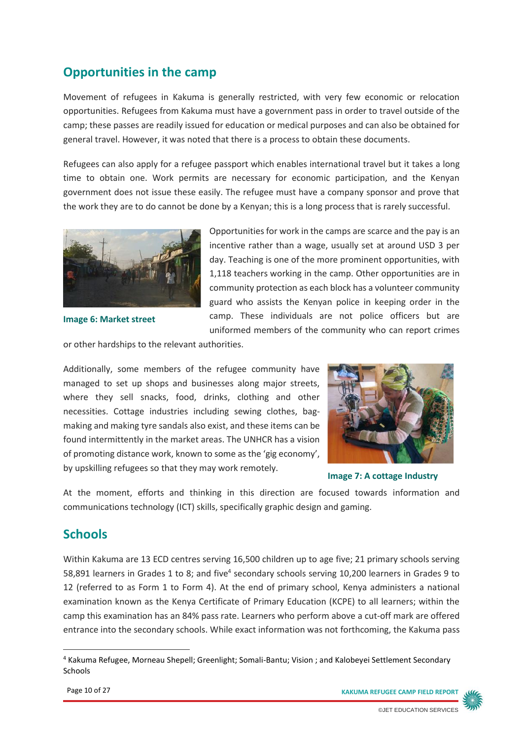# **Opportunities in the camp**

Movement of refugees in Kakuma is generally restricted, with very few economic or relocation opportunities. Refugees from Kakuma must have a government pass in order to travel outside of the camp; these passes are readily issued for education or medical purposes and can also be obtained for general travel. However, it was noted that there is a process to obtain these documents.

Refugees can also apply for a refugee passport which enables international travel but it takes a long time to obtain one. Work permits are necessary for economic participation, and the Kenyan government does not issue these easily. The refugee must have a company sponsor and prove that the work they are to do cannot be done by a Kenyan; this is a long process that is rarely successful.



**Image 6: Market street**

Opportunities for work in the camps are scarce and the pay is an incentive rather than a wage, usually set at around USD 3 per day. Teaching is one of the more prominent opportunities, with 1,118 teachers working in the camp. Other opportunities are in community protection as each block has a volunteer community guard who assists the Kenyan police in keeping order in the camp. These individuals are not police officers but are uniformed members of the community who can report crimes

or other hardships to the relevant authorities.

Additionally, some members of the refugee community have managed to set up shops and businesses along major streets, where they sell snacks, food, drinks, clothing and other necessities. Cottage industries including sewing clothes, bagmaking and making tyre sandals also exist, and these items can be found intermittently in the market areas. The UNHCR has a vision of promoting distance work, known to some as the 'gig economy', by upskilling refugees so that they may work remotely.



**Image 7: A cottage Industry**

At the moment, efforts and thinking in this direction are focused towards information and communications technology (ICT) skills, specifically graphic design and gaming.

### **Schools**

-

Within Kakuma are 13 ECD centres serving 16,500 children up to age five; 21 primary schools serving 58,891 learners in Grades 1 to 8; and five<sup>4</sup> secondary schools serving 10,200 learners in Grades 9 to 12 (referred to as Form 1 to Form 4). At the end of primary school, Kenya administers a national examination known as the Kenya Certificate of Primary Education (KCPE) to all learners; within the camp this examination has an 84% pass rate. Learners who perform above a cut-off mark are offered entrance into the secondary schools. While exact information was not forthcoming, the Kakuma pass



<sup>4</sup> Kakuma Refugee, Morneau Shepell; Greenlight; Somali-Bantu; Vision ; and Kalobeyei Settlement Secondary Schools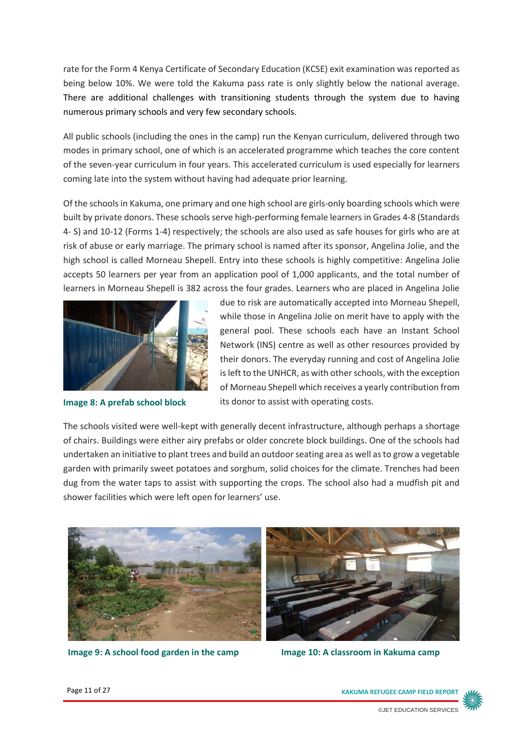rate for the Form 4 Kenya Certificate of Secondary Education (KCSE) exit examination was reported as being below 10%. We were told the Kakuma pass rate is only slightly below the national average. There are additional challenges with transitioning students through the system due to having numerous primary schools and very few secondary schools.

All public schools (including the ones in the camp) run the Kenyan curriculum, delivered through two modes in primary school, one of which is an accelerated programme which teaches the core content of the seven-year curriculum in four years. This accelerated curriculum is used especially for learners coming late into the system without having had adequate prior learning.

Of the schools in Kakuma, one primary and one high school are girls-only boarding schools which were built by private donors. These schools serve high-performing female learners in Grades 4-8 (Standards 4- S) and 10-12 (Forms 1-4) respectively; the schools are also used as safe houses for girls who are at risk of abuse or early marriage. The primary school is named after its sponsor, Angelina Jolie, and the high school is called Morneau Shepell. Entry into these schools is highly competitive: Angelina Jolie accepts 50 learners per year from an application pool of 1,000 applicants, and the total number of learners in Morneau Shepell is 382 across the four grades. Learners who are placed in Angelina Jolie



**Image 8: A prefab school block**

due to risk are automatically accepted into Morneau Shepell, while those in Angelina Jolie on merit have to apply with the general pool. These schools each have an Instant School Network (INS) centre as well as other resources provided by their donors. The everyday running and cost of Angelina Jolie is left to the UNHCR, as with other schools, with the exception of Morneau Shepell which receives a yearly contribution from its donor to assist with operating costs.

The schools visited were well-kept with generally decent infrastructure, although perhaps a shortage of chairs. Buildings were either airy prefabs or older concrete block buildings. One of the schools had undertaken an initiative to plant trees and build an outdoor seating area as well as to grow a vegetable garden with primarily sweet potatoes and sorghum, solid choices for the climate. Trenches had been dug from the water taps to assist with supporting the crops. The school also had a mudfish pit and shower facilities which were left open for learners' use.



**Image 9: A school food garden in the camp lmage 10: A classroom in Kakuma camp** 

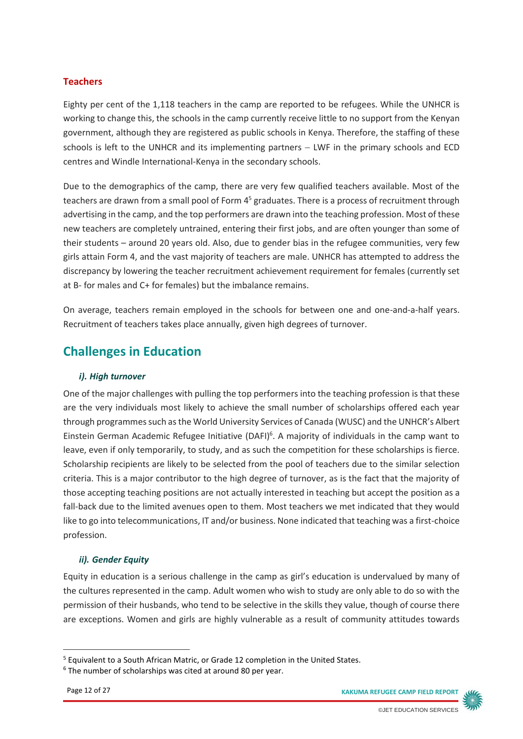#### **Teachers**

Eighty per cent of the 1,118 teachers in the camp are reported to be refugees. While the UNHCR is working to change this, the schools in the camp currently receive little to no support from the Kenyan government, although they are registered as public schools in Kenya. Therefore, the staffing of these schools is left to the UNHCR and its implementing partners – LWF in the primary schools and ECD centres and Windle International-Kenya in the secondary schools.

Due to the demographics of the camp, there are very few qualified teachers available. Most of the teachers are drawn from a small pool of Form 4<sup>5</sup> graduates. There is a process of recruitment through advertising in the camp, and the top performers are drawn into the teaching profession. Most of these new teachers are completely untrained, entering their first jobs, and are often younger than some of their students – around 20 years old. Also, due to gender bias in the refugee communities, very few girls attain Form 4, and the vast majority of teachers are male. UNHCR has attempted to address the discrepancy by lowering the teacher recruitment achievement requirement for females (currently set at B- for males and C+ for females) but the imbalance remains.

On average, teachers remain employed in the schools for between one and one-and-a-half years. Recruitment of teachers takes place annually, given high degrees of turnover.

### **Challenges in Education**

#### *i). High turnover*

One of the major challenges with pulling the top performers into the teaching profession is that these are the very individuals most likely to achieve the small number of scholarships offered each year through programmes such as the World University Services of Canada (WUSC) and the UNHCR's Albert Einstein German Academic Refugee Initiative (DAFI)<sup>6</sup>. A majority of individuals in the camp want to leave, even if only temporarily, to study, and as such the competition for these scholarships is fierce. Scholarship recipients are likely to be selected from the pool of teachers due to the similar selection criteria. This is a major contributor to the high degree of turnover, as is the fact that the majority of those accepting teaching positions are not actually interested in teaching but accept the position as a fall-back due to the limited avenues open to them. Most teachers we met indicated that they would like to go into telecommunications, IT and/or business. None indicated that teaching was a first-choice profession.

#### *ii). Gender Equity*

Equity in education is a serious challenge in the camp as girl's education is undervalued by many of the cultures represented in the camp. Adult women who wish to study are only able to do so with the permission of their husbands, who tend to be selective in the skills they value, though of course there are exceptions. Women and girls are highly vulnerable as a result of community attitudes towards

-



<sup>5</sup> Equivalent to a South African Matric, or Grade 12 completion in the United States.

<sup>&</sup>lt;sup>6</sup> The number of scholarships was cited at around 80 per year.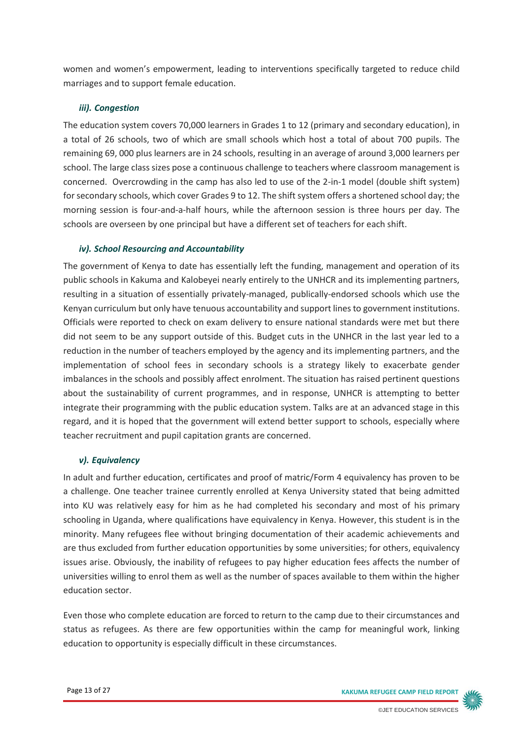women and women's empowerment, leading to interventions specifically targeted to reduce child marriages and to support female education.

#### *iii). Congestion*

The education system covers 70,000 learners in Grades 1 to 12 (primary and secondary education), in a total of 26 schools, two of which are small schools which host a total of about 700 pupils. The remaining 69, 000 plus learners are in 24 schools, resulting in an average of around 3,000 learners per school. The large class sizes pose a continuous challenge to teachers where classroom management is concerned. Overcrowding in the camp has also led to use of the 2-in-1 model (double shift system) for secondary schools, which cover Grades 9 to 12. The shift system offers a shortened school day; the morning session is four-and-a-half hours, while the afternoon session is three hours per day. The schools are overseen by one principal but have a different set of teachers for each shift.

#### *iv). School Resourcing and Accountability*

The government of Kenya to date has essentially left the funding, management and operation of its public schools in Kakuma and Kalobeyei nearly entirely to the UNHCR and its implementing partners, resulting in a situation of essentially privately-managed, publically-endorsed schools which use the Kenyan curriculum but only have tenuous accountability and support lines to government institutions. Officials were reported to check on exam delivery to ensure national standards were met but there did not seem to be any support outside of this. Budget cuts in the UNHCR in the last year led to a reduction in the number of teachers employed by the agency and its implementing partners, and the implementation of school fees in secondary schools is a strategy likely to exacerbate gender imbalances in the schools and possibly affect enrolment. The situation has raised pertinent questions about the sustainability of current programmes, and in response, UNHCR is attempting to better integrate their programming with the public education system. Talks are at an advanced stage in this regard, and it is hoped that the government will extend better support to schools, especially where teacher recruitment and pupil capitation grants are concerned.

#### *v). Equivalency*

In adult and further education, certificates and proof of matric/Form 4 equivalency has proven to be a challenge. One teacher trainee currently enrolled at Kenya University stated that being admitted into KU was relatively easy for him as he had completed his secondary and most of his primary schooling in Uganda, where qualifications have equivalency in Kenya. However, this student is in the minority. Many refugees flee without bringing documentation of their academic achievements and are thus excluded from further education opportunities by some universities; for others, equivalency issues arise. Obviously, the inability of refugees to pay higher education fees affects the number of universities willing to enrol them as well as the number of spaces available to them within the higher education sector.

Even those who complete education are forced to return to the camp due to their circumstances and status as refugees. As there are few opportunities within the camp for meaningful work, linking education to opportunity is especially difficult in these circumstances.

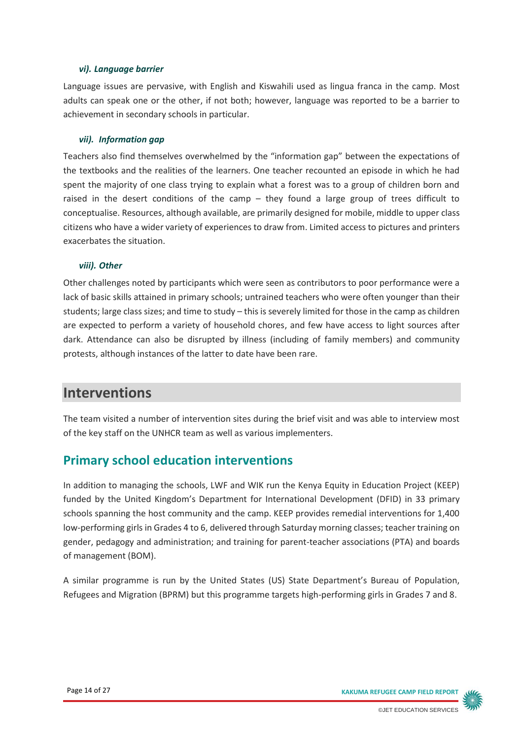#### *vi). Language barrier*

Language issues are pervasive, with English and Kiswahili used as lingua franca in the camp. Most adults can speak one or the other, if not both; however, language was reported to be a barrier to achievement in secondary schools in particular.

#### *vii). Information gap*

Teachers also find themselves overwhelmed by the "information gap" between the expectations of the textbooks and the realities of the learners. One teacher recounted an episode in which he had spent the majority of one class trying to explain what a forest was to a group of children born and raised in the desert conditions of the camp – they found a large group of trees difficult to conceptualise. Resources, although available, are primarily designed for mobile, middle to upper class citizens who have a wider variety of experiences to draw from. Limited access to pictures and printers exacerbates the situation.

#### *viii). Other*

Other challenges noted by participants which were seen as contributors to poor performance were a lack of basic skills attained in primary schools; untrained teachers who were often younger than their students; large class sizes; and time to study – this is severely limited for those in the camp as children are expected to perform a variety of household chores, and few have access to light sources after dark. Attendance can also be disrupted by illness (including of family members) and community protests, although instances of the latter to date have been rare.

# **Interventions**

The team visited a number of intervention sites during the brief visit and was able to interview most of the key staff on the UNHCR team as well as various implementers.

# **Primary school education interventions**

In addition to managing the schools, LWF and WIK run the Kenya Equity in Education Project (KEEP) funded by the United Kingdom's Department for International Development (DFID) in 33 primary schools spanning the host community and the camp. KEEP provides remedial interventions for 1,400 low-performing girls in Grades 4 to 6, delivered through Saturday morning classes; teacher training on gender, pedagogy and administration; and training for parent-teacher associations (PTA) and boards of management (BOM).

A similar programme is run by the United States (US) State Department's Bureau of Population, Refugees and Migration (BPRM) but this programme targets high-performing girls in Grades 7 and 8.

Page 14 of 27 **KAKUMA REFUGEE CAMP FIELD REPORT**

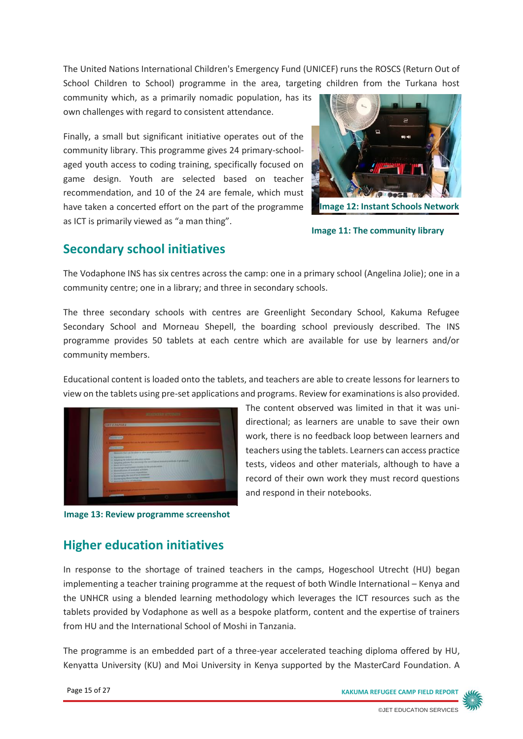The United Nations International Children's Emergency Fund (UNICEF) runs the ROSCS (Return Out of School Children to School) programme in the area, targeting children from the Turkana host

community which, as a primarily nomadic population, has its own challenges with regard to consistent attendance.

Finally, a small but significant initiative operates out of the community library. This programme gives 24 primary-schoolaged youth access to coding training, specifically focused on game design. Youth are selected based on teacher recommendation, and 10 of the 24 are female, which must have taken a concerted effort on the part of the programme as ICT is primarily viewed as "a man thing".



**Image 12: Instant Schools Network** 

**Image 11: The community library**

### **Secondary school initiatives**

The Vodaphone INS has six centres across the camp: one in a primary school (Angelina Jolie); one in a community centre; one in a library; and three in secondary schools.

The three secondary schools with centres are Greenlight Secondary School, Kakuma Refugee Secondary School and Morneau Shepell, the boarding school previously described. The INS programme provides 50 tablets at each centre which are available for use by learners and/or community members.

Educational content is loaded onto the tablets, and teachers are able to create lessons for learners to view on the tablets using pre-set applications and programs. Review for examinations is also provided.



**Image 13: Review programme screenshot**

The content observed was limited in that it was unidirectional; as learners are unable to save their own work, there is no feedback loop between learners and teachers using the tablets. Learners can access practice tests, videos and other materials, although to have a record of their own work they must record questions and respond in their notebooks.

### **Higher education initiatives**

In response to the shortage of trained teachers in the camps, Hogeschool Utrecht (HU) began implementing a teacher training programme at the request of both Windle International – Kenya and the UNHCR using a blended learning methodology which leverages the ICT resources such as the tablets provided by Vodaphone as well as a bespoke platform, content and the expertise of trainers from HU and the International School of Moshi in Tanzania.

The programme is an embedded part of a three-year accelerated teaching diploma offered by HU, Kenyatta University (KU) and Moi University in Kenya supported by the MasterCard Foundation. A

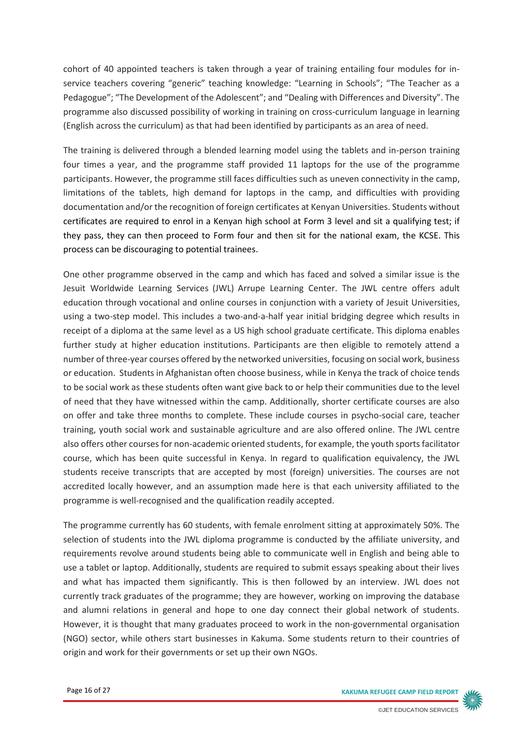cohort of 40 appointed teachers is taken through a year of training entailing four modules for inservice teachers covering "generic" teaching knowledge: "Learning in Schools"; "The Teacher as a Pedagogue"; "The Development of the Adolescent"; and "Dealing with Differences and Diversity". The programme also discussed possibility of working in training on cross-curriculum language in learning (English across the curriculum) as that had been identified by participants as an area of need.

The training is delivered through a blended learning model using the tablets and in-person training four times a year, and the programme staff provided 11 laptops for the use of the programme participants. However, the programme still faces difficulties such as uneven connectivity in the camp, limitations of the tablets, high demand for laptops in the camp, and difficulties with providing documentation and/or the recognition of foreign certificates at Kenyan Universities. Students without certificates are required to enrol in a Kenyan high school at Form 3 level and sit a qualifying test; if they pass, they can then proceed to Form four and then sit for the national exam, the KCSE. This process can be discouraging to potential trainees.

One other programme observed in the camp and which has faced and solved a similar issue is the Jesuit Worldwide Learning Services (JWL) Arrupe Learning Center. The JWL centre offers adult education through vocational and online courses in conjunction with a variety of Jesuit Universities, using a two-step model. This includes a two-and-a-half year initial bridging degree which results in receipt of a diploma at the same level as a US high school graduate certificate. This diploma enables further study at higher education institutions. Participants are then eligible to remotely attend a number of three-year courses offered by the networked universities, focusing on social work, business or education. Students in Afghanistan often choose business, while in Kenya the track of choice tends to be social work as these students often want give back to or help their communities due to the level of need that they have witnessed within the camp. Additionally, shorter certificate courses are also on offer and take three months to complete. These include courses in psycho-social care, teacher training, youth social work and sustainable agriculture and are also offered online. The JWL centre also offers other courses for non-academic oriented students, for example, the youth sportsfacilitator course, which has been quite successful in Kenya. In regard to qualification equivalency, the JWL students receive transcripts that are accepted by most (foreign) universities. The courses are not accredited locally however, and an assumption made here is that each university affiliated to the programme is well-recognised and the qualification readily accepted.

The programme currently has 60 students, with female enrolment sitting at approximately 50%. The selection of students into the JWL diploma programme is conducted by the affiliate university, and requirements revolve around students being able to communicate well in English and being able to use a tablet or laptop. Additionally, students are required to submit essays speaking about their lives and what has impacted them significantly. This is then followed by an interview. JWL does not currently track graduates of the programme; they are however, working on improving the database and alumni relations in general and hope to one day connect their global network of students. However, it is thought that many graduates proceed to work in the non-governmental organisation (NGO) sector, while others start businesses in Kakuma. Some students return to their countries of origin and work for their governments or set up their own NGOs.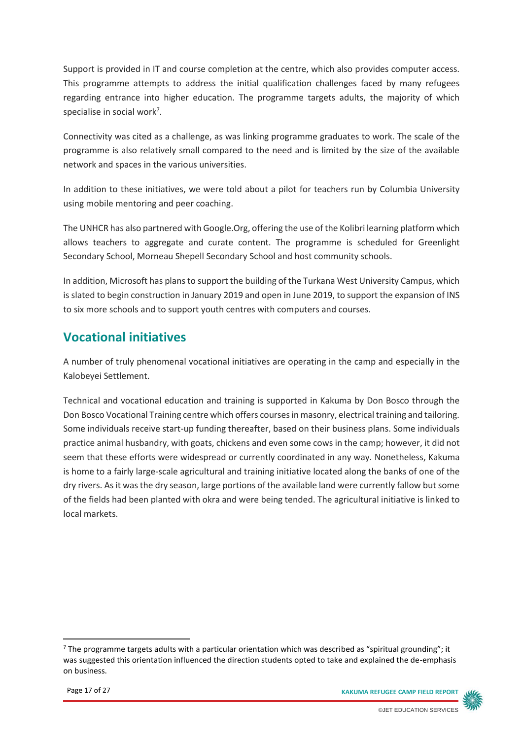Support is provided in IT and course completion at the centre, which also provides computer access. This programme attempts to address the initial qualification challenges faced by many refugees regarding entrance into higher education. The programme targets adults, the majority of which specialise in social work<sup>7</sup>.

Connectivity was cited as a challenge, as was linking programme graduates to work. The scale of the programme is also relatively small compared to the need and is limited by the size of the available network and spaces in the various universities.

In addition to these initiatives, we were told about a pilot for teachers run by Columbia University using mobile mentoring and peer coaching.

The UNHCR has also partnered with Google.Org, offering the use of the Kolibri learning platform which allows teachers to aggregate and curate content. The programme is scheduled for Greenlight Secondary School, Morneau Shepell Secondary School and host community schools.

In addition, Microsoft has plans to support the building of the Turkana West University Campus, which is slated to begin construction in January 2019 and open in June 2019, to support the expansion of INS to six more schools and to support youth centres with computers and courses.

# **Vocational initiatives**

A number of truly phenomenal vocational initiatives are operating in the camp and especially in the Kalobeyei Settlement.

Technical and vocational education and training is supported in Kakuma by Don Bosco through the Don Bosco Vocational Training centre which offers courses in masonry, electrical training and tailoring. Some individuals receive start-up funding thereafter, based on their business plans. Some individuals practice animal husbandry, with goats, chickens and even some cows in the camp; however, it did not seem that these efforts were widespread or currently coordinated in any way. Nonetheless, Kakuma is home to a fairly large-scale agricultural and training initiative located along the banks of one of the dry rivers. As it was the dry season, large portions of the available land were currently fallow but some of the fields had been planted with okra and were being tended. The agricultural initiative is linked to local markets.



 $<sup>7</sup>$  The programme targets adults with a particular orientation which was described as "spiritual grounding"; it</sup> was suggested this orientation influenced the direction students opted to take and explained the de-emphasis on business.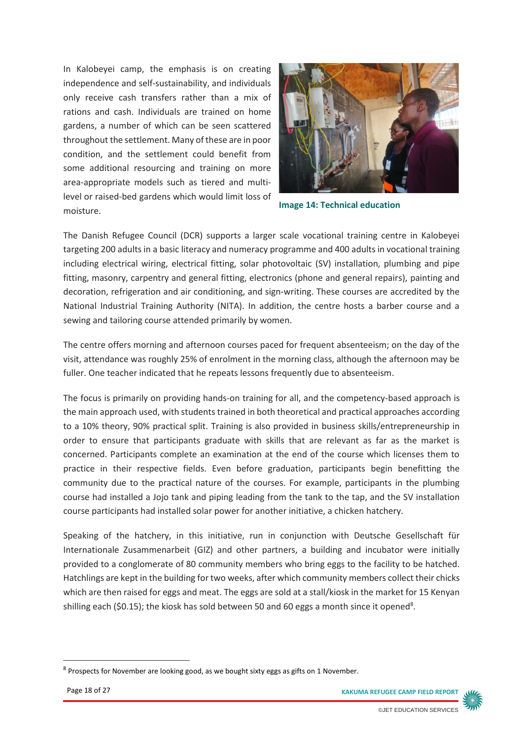In Kalobeyei camp, the emphasis is on creating independence and self-sustainability, and individuals only receive cash transfers rather than a mix of rations and cash. Individuals are trained on home gardens, a number of which can be seen scattered throughout the settlement. Many of these are in poor condition, and the settlement could benefit from some additional resourcing and training on more area-appropriate models such as tiered and multilevel or raised-bed gardens which would limit loss of moisture.



**Image 14: Technical education**

The Danish Refugee Council (DCR) supports a larger scale vocational training centre in Kalobeyei targeting 200 adults in a basic literacy and numeracy programme and 400 adults in vocational training including electrical wiring, electrical fitting, solar photovoltaic (SV) installation, plumbing and pipe fitting, masonry, carpentry and general fitting, electronics (phone and general repairs), painting and decoration, refrigeration and air conditioning, and sign-writing. These courses are accredited by the National Industrial Training Authority (NITA). In addition, the centre hosts a barber course and a sewing and tailoring course attended primarily by women.

The centre offers morning and afternoon courses paced for frequent absenteeism; on the day of the visit, attendance was roughly 25% of enrolment in the morning class, although the afternoon may be fuller. One teacher indicated that he repeats lessons frequently due to absenteeism.

The focus is primarily on providing hands-on training for all, and the competency-based approach is the main approach used, with students trained in both theoretical and practical approaches according to a 10% theory, 90% practical split. Training is also provided in business skills/entrepreneurship in order to ensure that participants graduate with skills that are relevant as far as the market is concerned. Participants complete an examination at the end of the course which licenses them to practice in their respective fields. Even before graduation, participants begin benefitting the community due to the practical nature of the courses. For example, participants in the plumbing course had installed a Jojo tank and piping leading from the tank to the tap, and the SV installation course participants had installed solar power for another initiative, a chicken hatchery.

Speaking of the hatchery, in this initiative, run in conjunction with Deutsche Gesellschaft für Internationale Zusammenarbeit (GIZ) and other partners, a building and incubator were initially provided to a conglomerate of 80 community members who bring eggs to the facility to be hatched. Hatchlings are kept in the building for two weeks, after which community members collect their chicks which are then raised for eggs and meat. The eggs are sold at a stall/kiosk in the market for 15 Kenyan shilling each (\$0.15); the kiosk has sold between 50 and 60 eggs a month since it opened<sup>8</sup>.



 $8$  Prospects for November are looking good, as we bought sixty eggs as gifts on 1 November.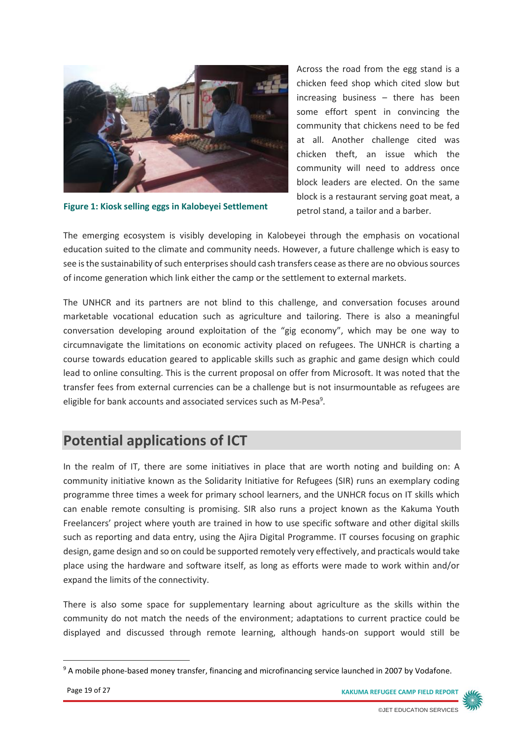

**Figure 1: Kiosk selling eggs in Kalobeyei Settlement**

Across the road from the egg stand is a chicken feed shop which cited slow but increasing business – there has been some effort spent in convincing the community that chickens need to be fed at all. Another challenge cited was chicken theft, an issue which the community will need to address once block leaders are elected. On the same block is a restaurant serving goat meat, a petrol stand, a tailor and a barber.

The emerging ecosystem is visibly developing in Kalobeyei through the emphasis on vocational education suited to the climate and community needs. However, a future challenge which is easy to see is the sustainability of such enterprises should cash transfers cease as there are no obvious sources of income generation which link either the camp or the settlement to external markets.

The UNHCR and its partners are not blind to this challenge, and conversation focuses around marketable vocational education such as agriculture and tailoring. There is also a meaningful conversation developing around exploitation of the "gig economy", which may be one way to circumnavigate the limitations on economic activity placed on refugees. The UNHCR is charting a course towards education geared to applicable skills such as graphic and game design which could lead to online consulting. This is the current proposal on offer from Microsoft. It was noted that the transfer fees from external currencies can be a challenge but is not insurmountable as refugees are eligible for bank accounts and associated services such as M-Pesa<sup>9</sup>.

# **Potential applications of ICT**

In the realm of IT, there are some initiatives in place that are worth noting and building on: A community initiative known as the Solidarity Initiative for Refugees (SIR) runs an exemplary coding programme three times a week for primary school learners, and the UNHCR focus on IT skills which can enable remote consulting is promising. SIR also runs a project known as the Kakuma Youth Freelancers' project where youth are trained in how to use specific software and other digital skills such as reporting and data entry, using the Ajira Digital Programme. IT courses focusing on graphic design, game design and so on could be supported remotely very effectively, and practicals would take place using the hardware and software itself, as long as efforts were made to work within and/or expand the limits of the connectivity.

There is also some space for supplementary learning about agriculture as the skills within the community do not match the needs of the environment; adaptations to current practice could be displayed and discussed through remote learning, although hands-on support would still be



<sup>&</sup>lt;sup>9</sup> A mobile phone-based money transfer, financing and microfinancing service launched in 2007 by Vodafone.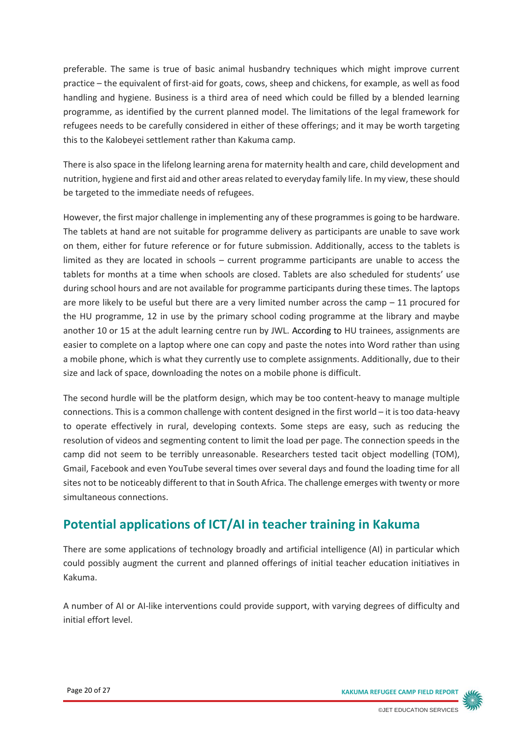preferable. The same is true of basic animal husbandry techniques which might improve current practice – the equivalent of first-aid for goats, cows, sheep and chickens, for example, as well as food handling and hygiene. Business is a third area of need which could be filled by a blended learning programme, as identified by the current planned model. The limitations of the legal framework for refugees needs to be carefully considered in either of these offerings; and it may be worth targeting this to the Kalobeyei settlement rather than Kakuma camp.

There is also space in the lifelong learning arena for maternity health and care, child development and nutrition, hygiene and first aid and other areas related to everyday family life. In my view, these should be targeted to the immediate needs of refugees.

However, the first major challenge in implementing any of these programmes is going to be hardware. The tablets at hand are not suitable for programme delivery as participants are unable to save work on them, either for future reference or for future submission. Additionally, access to the tablets is limited as they are located in schools – current programme participants are unable to access the tablets for months at a time when schools are closed. Tablets are also scheduled for students' use during school hours and are not available for programme participants during these times. The laptops are more likely to be useful but there are a very limited number across the camp – 11 procured for the HU programme, 12 in use by the primary school coding programme at the library and maybe another 10 or 15 at the adult learning centre run by JWL. According to HU trainees, assignments are easier to complete on a laptop where one can copy and paste the notes into Word rather than using a mobile phone, which is what they currently use to complete assignments. Additionally, due to their size and lack of space, downloading the notes on a mobile phone is difficult.

The second hurdle will be the platform design, which may be too content-heavy to manage multiple connections. This is a common challenge with content designed in the first world – it is too data-heavy to operate effectively in rural, developing contexts. Some steps are easy, such as reducing the resolution of videos and segmenting content to limit the load per page. The connection speeds in the camp did not seem to be terribly unreasonable. Researchers tested tacit object modelling (TOM), Gmail, Facebook and even YouTube several times over several days and found the loading time for all sites not to be noticeably different to that in South Africa. The challenge emerges with twenty or more simultaneous connections.

# **Potential applications of ICT/AI in teacher training in Kakuma**

There are some applications of technology broadly and artificial intelligence (AI) in particular which could possibly augment the current and planned offerings of initial teacher education initiatives in Kakuma.

A number of AI or AI-like interventions could provide support, with varying degrees of difficulty and initial effort level.

Page 20 of 27 **KAKUMA REFUGEE CAMP FIELD REPORT**

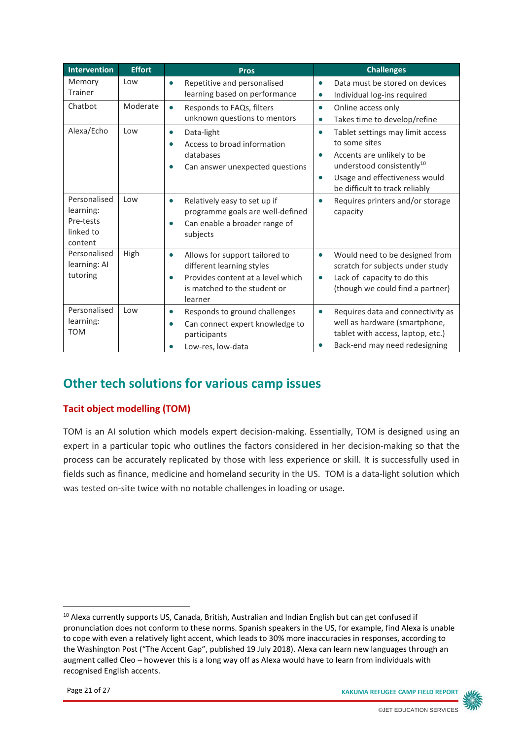| <b>Intervention</b>                                            | <b>Effort</b> | <b>Pros</b>                                                                                                                                              | <b>Challenges</b>                                                                                                                                                                                                                  |
|----------------------------------------------------------------|---------------|----------------------------------------------------------------------------------------------------------------------------------------------------------|------------------------------------------------------------------------------------------------------------------------------------------------------------------------------------------------------------------------------------|
| Memory<br>Trainer                                              | Low           | Repetitive and personalised<br>$\bullet$<br>learning based on performance                                                                                | Data must be stored on devices<br>$\bullet$<br>Individual log-ins required<br>$\bullet$                                                                                                                                            |
| Chatbot                                                        | Moderate      | Responds to FAQs, filters<br>$\bullet$<br>unknown questions to mentors                                                                                   | Online access only<br>$\bullet$<br>Takes time to develop/refine<br>$\bullet$                                                                                                                                                       |
| Alexa/Echo                                                     | Low           | Data-light<br>$\bullet$<br>Access to broad information<br>$\bullet$<br>databases<br>Can answer unexpected questions<br>$\bullet$                         | Tablet settings may limit access<br>$\bullet$<br>to some sites<br>Accents are unlikely to be<br>$\bullet$<br>understood consistently <sup>10</sup><br>Usage and effectiveness would<br>$\bullet$<br>be difficult to track reliably |
| Personalised<br>learning:<br>Pre-tests<br>linked to<br>content | Low           | Relatively easy to set up if<br>$\bullet$<br>programme goals are well-defined<br>Can enable a broader range of<br>$\bullet$<br>subjects                  | Requires printers and/or storage<br>$\bullet$<br>capacity                                                                                                                                                                          |
| Personalised<br>learning: Al<br>tutoring                       | High          | Allows for support tailored to<br>$\bullet$<br>different learning styles<br>Provides content at a level which<br>is matched to the student or<br>learner | Would need to be designed from<br>$\bullet$<br>scratch for subjects under study<br>Lack of capacity to do this<br>$\bullet$<br>(though we could find a partner)                                                                    |
| Personalised<br>learning:<br><b>TOM</b>                        | Low           | Responds to ground challenges<br>$\bullet$<br>Can connect expert knowledge to<br>$\bullet$<br>participants<br>Low-res, low-data                          | Requires data and connectivity as<br>$\bullet$<br>well as hardware (smartphone,<br>tablet with access, laptop, etc.)<br>Back-end may need redesigning                                                                              |

# **Other tech solutions for various camp issues**

#### **Tacit object modelling (TOM)**

TOM is an AI solution which models expert decision-making. Essentially, TOM is designed using an expert in a particular topic who outlines the factors considered in her decision-making so that the process can be accurately replicated by those with less experience or skill. It is successfully used in fields such as finance, medicine and homeland security in the US. TOM is a data-light solution which was tested on-site twice with no notable challenges in loading or usage.

**.** 

Page 21 of 27 **KAKUMA REFUGEE CAMP FIELD REPORT**



<sup>&</sup>lt;sup>10</sup> Alexa currently supports US, Canada, British, Australian and Indian English but can get confused if pronunciation does not conform to these norms. Spanish speakers in the US, for example, find Alexa is unable to cope with even a relatively light accent, which leads to 30% more inaccuracies in responses, according to the Washington Post ("The Accent Gap", published 19 July 2018). Alexa can learn new languages through an augment called Cleo – however this is a long way off as Alexa would have to learn from individuals with recognised English accents.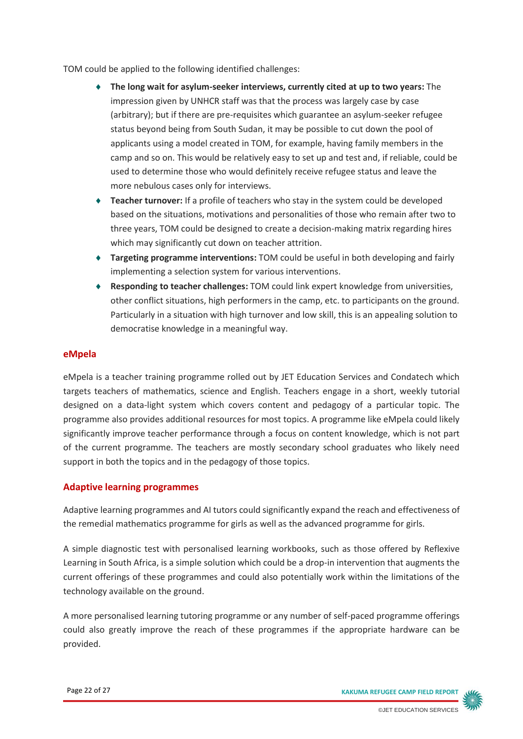TOM could be applied to the following identified challenges:

- **The long wait for asylum-seeker interviews, currently cited at up to two years:** The impression given by UNHCR staff was that the process was largely case by case (arbitrary); but if there are pre-requisites which guarantee an asylum-seeker refugee status beyond being from South Sudan, it may be possible to cut down the pool of applicants using a model created in TOM, for example, having family members in the camp and so on. This would be relatively easy to set up and test and, if reliable, could be used to determine those who would definitely receive refugee status and leave the more nebulous cases only for interviews.
- **Teacher turnover:** If a profile of teachers who stay in the system could be developed based on the situations, motivations and personalities of those who remain after two to three years, TOM could be designed to create a decision-making matrix regarding hires which may significantly cut down on teacher attrition.
- **Targeting programme interventions:** TOM could be useful in both developing and fairly implementing a selection system for various interventions.
- **Responding to teacher challenges:** TOM could link expert knowledge from universities, other conflict situations, high performers in the camp, etc. to participants on the ground. Particularly in a situation with high turnover and low skill, this is an appealing solution to democratise knowledge in a meaningful way.

#### **eMpela**

eMpela is a teacher training programme rolled out by JET Education Services and Condatech which targets teachers of mathematics, science and English. Teachers engage in a short, weekly tutorial designed on a data-light system which covers content and pedagogy of a particular topic. The programme also provides additional resources for most topics. A programme like eMpela could likely significantly improve teacher performance through a focus on content knowledge, which is not part of the current programme. The teachers are mostly secondary school graduates who likely need support in both the topics and in the pedagogy of those topics.

#### **Adaptive learning programmes**

Adaptive learning programmes and AI tutors could significantly expand the reach and effectiveness of the remedial mathematics programme for girls as well as the advanced programme for girls.

A simple diagnostic test with personalised learning workbooks, such as those offered by Reflexive Learning in South Africa, is a simple solution which could be a drop-in intervention that augments the current offerings of these programmes and could also potentially work within the limitations of the technology available on the ground.

A more personalised learning tutoring programme or any number of self-paced programme offerings could also greatly improve the reach of these programmes if the appropriate hardware can be provided.

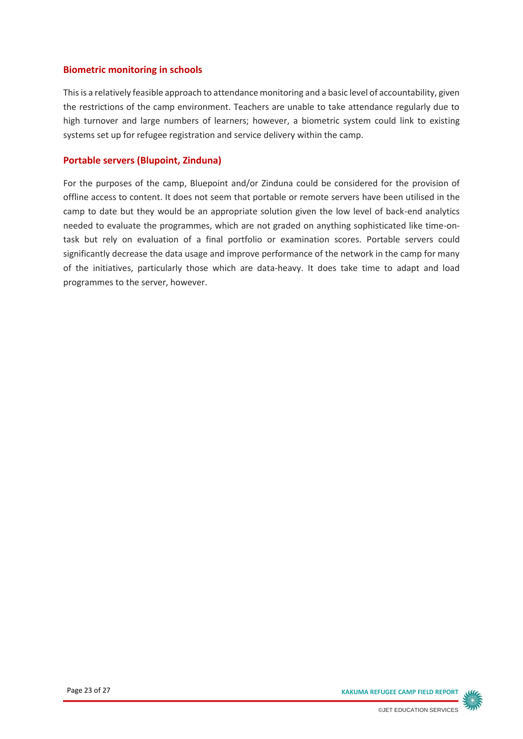#### **Biometric monitoring in schools**

This is a relatively feasible approach to attendance monitoring and a basic level of accountability, given the restrictions of the camp environment. Teachers are unable to take attendance regularly due to high turnover and large numbers of learners; however, a biometric system could link to existing systems set up for refugee registration and service delivery within the camp.

#### **Portable servers (Blupoint, Zinduna)**

For the purposes of the camp, Bluepoint and/or Zinduna could be considered for the provision of offline access to content. It does not seem that portable or remote servers have been utilised in the camp to date but they would be an appropriate solution given the low level of back-end analytics needed to evaluate the programmes, which are not graded on anything sophisticated like time-ontask but rely on evaluation of a final portfolio or examination scores. Portable servers could significantly decrease the data usage and improve performance of the network in the camp for many of the initiatives, particularly those which are data-heavy. It does take time to adapt and load programmes to the server, however.

Page 23 of 27 **KAKUMA REFUGEE CAMP FIELD REPORT**

 $100$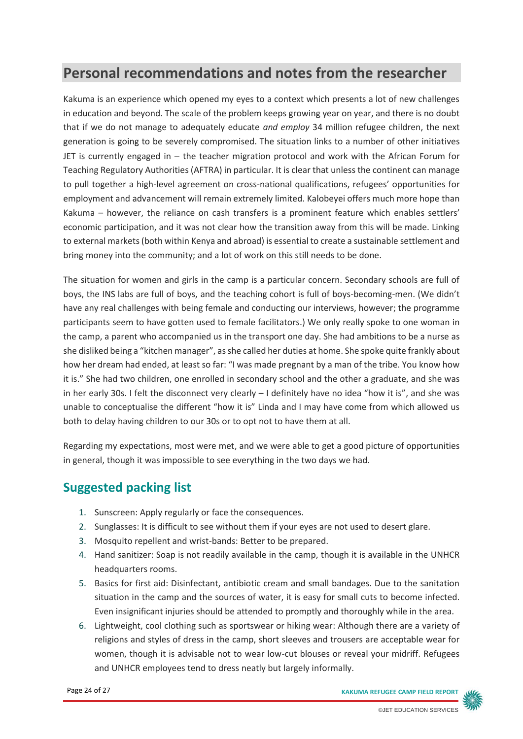# **Personal recommendations and notes from the researcher**

Kakuma is an experience which opened my eyes to a context which presents a lot of new challenges in education and beyond. The scale of the problem keeps growing year on year, and there is no doubt that if we do not manage to adequately educate *and employ* 34 million refugee children, the next generation is going to be severely compromised. The situation links to a number of other initiatives JET is currently engaged in – the teacher migration protocol and work with the African Forum for Teaching Regulatory Authorities (AFTRA) in particular. It is clear that unless the continent can manage to pull together a high-level agreement on cross-national qualifications, refugees' opportunities for employment and advancement will remain extremely limited. Kalobeyei offers much more hope than Kakuma – however, the reliance on cash transfers is a prominent feature which enables settlers' economic participation, and it was not clear how the transition away from this will be made. Linking to external markets (both within Kenya and abroad) is essential to create a sustainable settlement and bring money into the community; and a lot of work on this still needs to be done.

The situation for women and girls in the camp is a particular concern. Secondary schools are full of boys, the INS labs are full of boys, and the teaching cohort is full of boys-becoming-men. (We didn't have any real challenges with being female and conducting our interviews, however; the programme participants seem to have gotten used to female facilitators.) We only really spoke to one woman in the camp, a parent who accompanied us in the transport one day. She had ambitions to be a nurse as she disliked being a "kitchen manager", as she called her duties at home. She spoke quite frankly about how her dream had ended, at least so far: "I was made pregnant by a man of the tribe. You know how it is." She had two children, one enrolled in secondary school and the other a graduate, and she was in her early 30s. I felt the disconnect very clearly – I definitely have no idea "how it is", and she was unable to conceptualise the different "how it is" Linda and I may have come from which allowed us both to delay having children to our 30s or to opt not to have them at all.

Regarding my expectations, most were met, and we were able to get a good picture of opportunities in general, though it was impossible to see everything in the two days we had.

# **Suggested packing list**

- 1. Sunscreen: Apply regularly or face the consequences.
- 2. Sunglasses: It is difficult to see without them if your eyes are not used to desert glare.
- 3. Mosquito repellent and wrist-bands: Better to be prepared.
- 4. Hand sanitizer: Soap is not readily available in the camp, though it is available in the UNHCR headquarters rooms.
- 5. Basics for first aid: Disinfectant, antibiotic cream and small bandages. Due to the sanitation situation in the camp and the sources of water, it is easy for small cuts to become infected. Even insignificant injuries should be attended to promptly and thoroughly while in the area.
- 6. Lightweight, cool clothing such as sportswear or hiking wear: Although there are a variety of religions and styles of dress in the camp, short sleeves and trousers are acceptable wear for women, though it is advisable not to wear low-cut blouses or reveal your midriff. Refugees and UNHCR employees tend to dress neatly but largely informally.

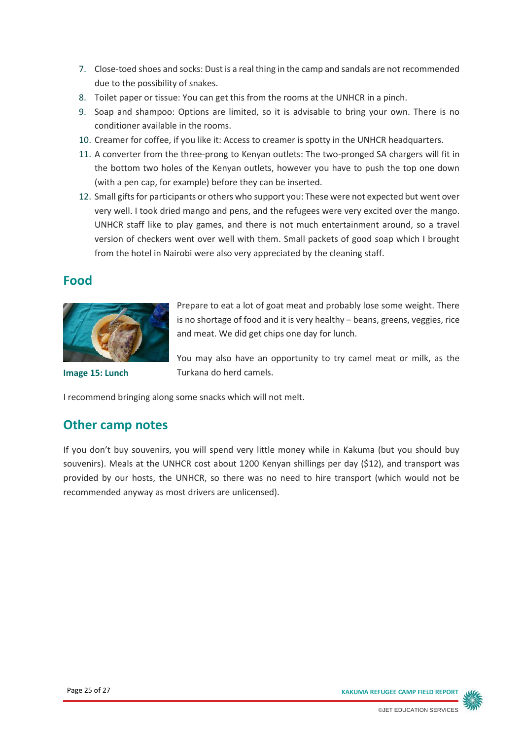- 7. Close-toed shoes and socks: Dust is a real thing in the camp and sandals are not recommended due to the possibility of snakes.
- 8. Toilet paper or tissue: You can get this from the rooms at the UNHCR in a pinch.
- 9. Soap and shampoo: Options are limited, so it is advisable to bring your own. There is no conditioner available in the rooms.
- 10. Creamer for coffee, if you like it: Access to creamer is spotty in the UNHCR headquarters.
- 11. A converter from the three-prong to Kenyan outlets: The two-pronged SA chargers will fit in the bottom two holes of the Kenyan outlets, however you have to push the top one down (with a pen cap, for example) before they can be inserted.
- 12. Small gifts for participants or others who support you: These were not expected but went over very well. I took dried mango and pens, and the refugees were very excited over the mango. UNHCR staff like to play games, and there is not much entertainment around, so a travel version of checkers went over well with them. Small packets of good soap which I brought from the hotel in Nairobi were also very appreciated by the cleaning staff.

### **Food**



Prepare to eat a lot of goat meat and probably lose some weight. There is no shortage of food and it is very healthy – beans, greens, veggies, rice and meat. We did get chips one day for lunch.

**Image 15: Lunch**

You may also have an opportunity to try camel meat or milk, as the Turkana do herd camels.

I recommend bringing along some snacks which will not melt.

### **Other camp notes**

If you don't buy souvenirs, you will spend very little money while in Kakuma (but you should buy souvenirs). Meals at the UNHCR cost about 1200 Kenyan shillings per day (\$12), and transport was provided by our hosts, the UNHCR, so there was no need to hire transport (which would not be recommended anyway as most drivers are unlicensed).

Page 25 of 27 **KAKUMA REFUGEE CAMP FIELD REPORT**